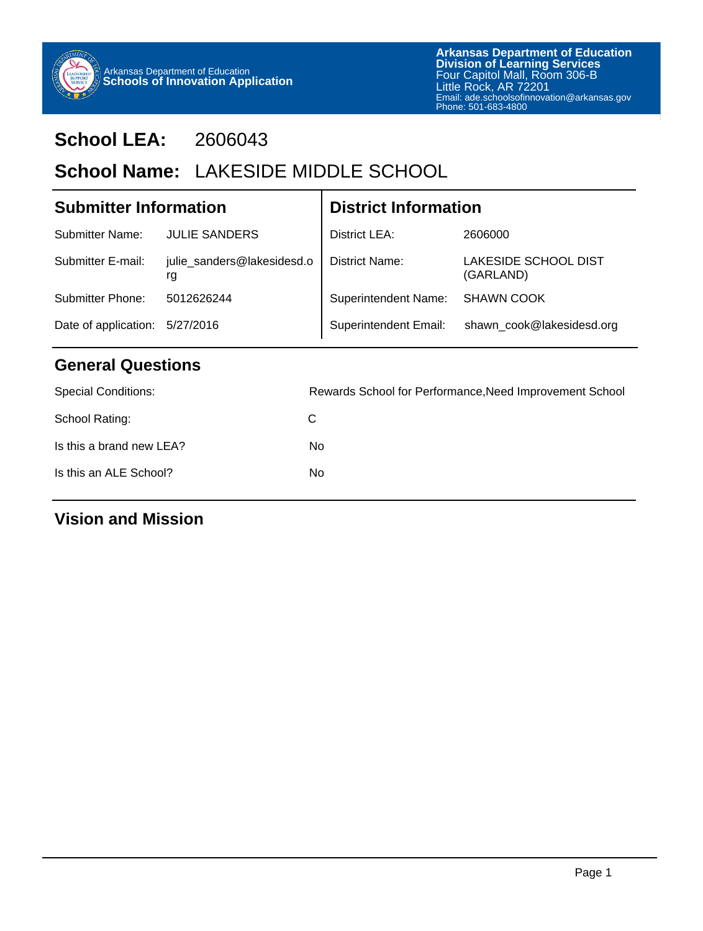

# **School LEA:** 2606043

# School Name: LAKESIDE MIDDLE SCHOOL

| <b>Submitter Information</b> |                                  | <b>District Information</b>  |                                   |  |
|------------------------------|----------------------------------|------------------------------|-----------------------------------|--|
| Submitter Name:              | <b>JULIE SANDERS</b>             | District LEA:                | 2606000                           |  |
| Submitter E-mail:            | julie_sanders@lakesidesd.o<br>rg | District Name:               | LAKESIDE SCHOOL DIST<br>(GARLAND) |  |
| Submitter Phone:             | 5012626244                       | <b>Superintendent Name:</b>  | <b>SHAWN COOK</b>                 |  |
| Date of application:         | 5/27/2016                        | <b>Superintendent Email:</b> | shawn_cook@lakesidesd.org         |  |
| <b>General Questions</b>     |                                  |                              |                                   |  |

## **General Questions**

| <b>Special Conditions:</b> | Rewards School for Performance, Need Improvement School |
|----------------------------|---------------------------------------------------------|
| School Rating:             | C                                                       |
| Is this a brand new LEA?   | No.                                                     |
| Is this an ALE School?     | No.                                                     |
|                            |                                                         |

**Vision and Mission**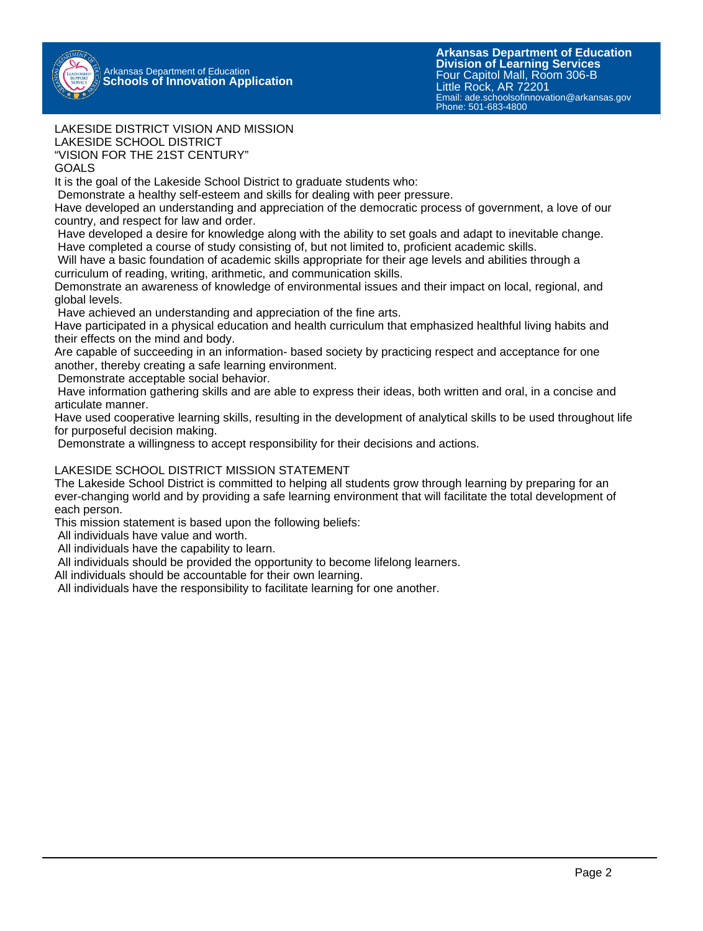

#### LAKESIDE DISTRICT VISION AND MISSION LAKESIDE SCHOOL DISTRICT

"VISION FOR THE 21ST CENTURY"

#### GOALS

It is the goal of the Lakeside School District to graduate students who:

Demonstrate a healthy self-esteem and skills for dealing with peer pressure.

Have developed an understanding and appreciation of the democratic process of government, a love of our country, and respect for law and order.

 Have developed a desire for knowledge along with the ability to set goals and adapt to inevitable change. Have completed a course of study consisting of, but not limited to, proficient academic skills.

 Will have a basic foundation of academic skills appropriate for their age levels and abilities through a curriculum of reading, writing, arithmetic, and communication skills.

Demonstrate an awareness of knowledge of environmental issues and their impact on local, regional, and global levels.

Have achieved an understanding and appreciation of the fine arts.

Have participated in a physical education and health curriculum that emphasized healthful living habits and their effects on the mind and body.

Are capable of succeeding in an information- based society by practicing respect and acceptance for one another, thereby creating a safe learning environment.

Demonstrate acceptable social behavior.

 Have information gathering skills and are able to express their ideas, both written and oral, in a concise and articulate manner.

Have used cooperative learning skills, resulting in the development of analytical skills to be used throughout life for purposeful decision making.

Demonstrate a willingness to accept responsibility for their decisions and actions.

#### LAKESIDE SCHOOL DISTRICT MISSION STATEMENT

The Lakeside School District is committed to helping all students grow through learning by preparing for an ever-changing world and by providing a safe learning environment that will facilitate the total development of each person.

This mission statement is based upon the following beliefs:

All individuals have value and worth.

All individuals have the capability to learn.

All individuals should be provided the opportunity to become lifelong learners.

All individuals should be accountable for their own learning.

All individuals have the responsibility to facilitate learning for one another.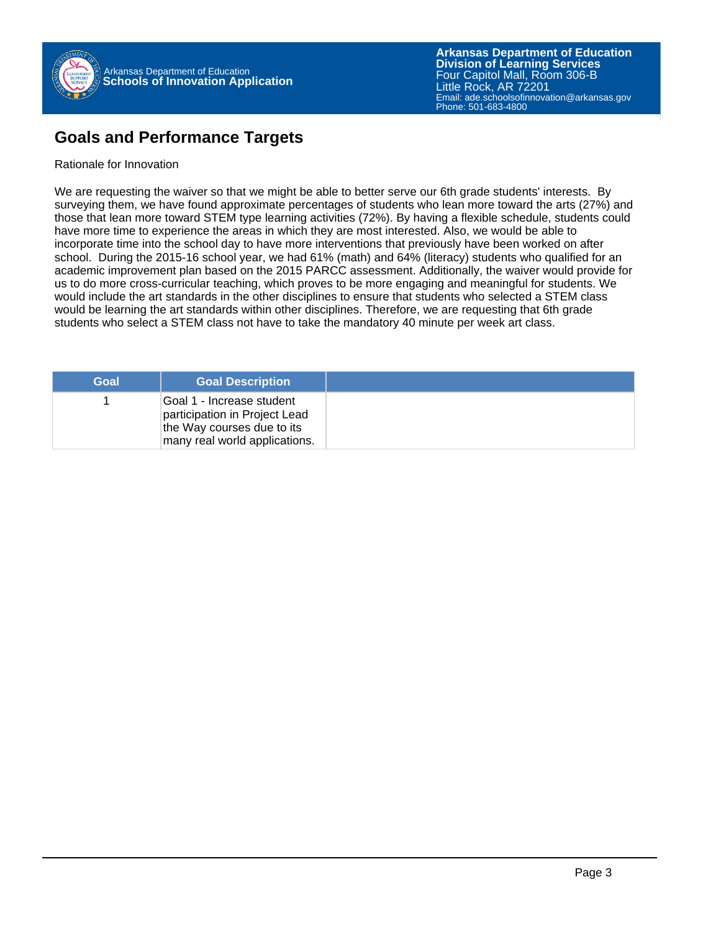

### **Goals and Performance Targets**

#### Rationale for Innovation

We are requesting the waiver so that we might be able to better serve our 6th grade students' interests. By surveying them, we have found approximate percentages of students who lean more toward the arts (27%) and those that lean more toward STEM type learning activities (72%). By having a flexible schedule, students could have more time to experience the areas in which they are most interested. Also, we would be able to incorporate time into the school day to have more interventions that previously have been worked on after school. During the 2015-16 school year, we had 61% (math) and 64% (literacy) students who qualified for an academic improvement plan based on the 2015 PARCC assessment. Additionally, the waiver would provide for us to do more cross-curricular teaching, which proves to be more engaging and meaningful for students. We would include the art standards in the other disciplines to ensure that students who selected a STEM class would be learning the art standards within other disciplines. Therefore, we are requesting that 6th grade students who select a STEM class not have to take the mandatory 40 minute per week art class.

| Goal | <b>Goal Description</b>                                                                                                   |
|------|---------------------------------------------------------------------------------------------------------------------------|
|      | Goal 1 - Increase student<br>participation in Project Lead<br>the Way courses due to its<br>many real world applications. |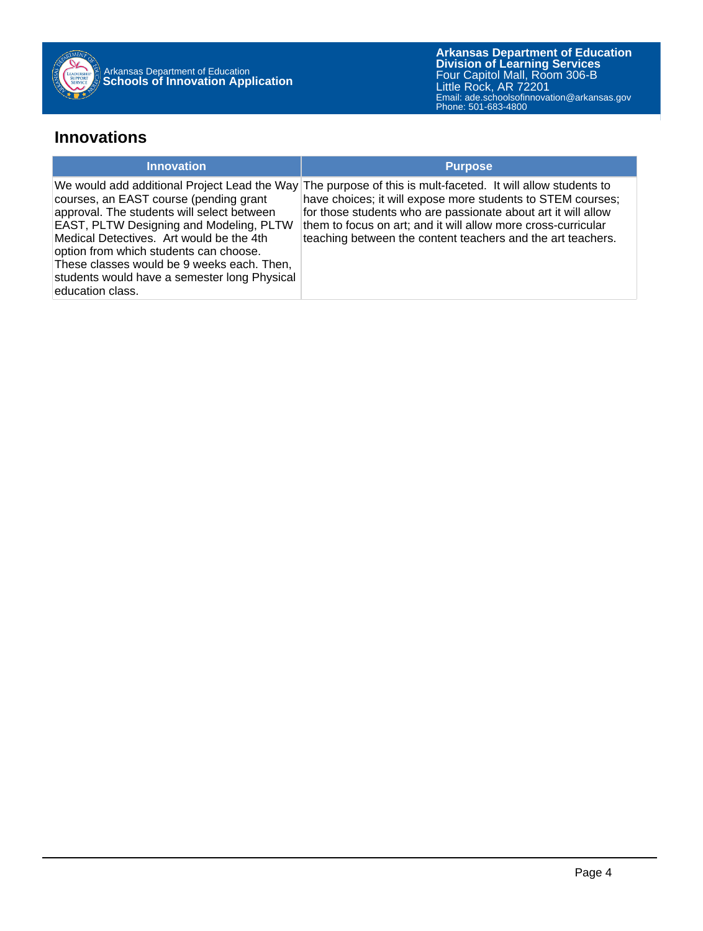

### **Innovations**

| <b>Innovation</b>                                                                                                                                                                                                                                                                                                                              | <b>Purpose</b>                                                                                                                                                                                                                                                                                                                                                              |
|------------------------------------------------------------------------------------------------------------------------------------------------------------------------------------------------------------------------------------------------------------------------------------------------------------------------------------------------|-----------------------------------------------------------------------------------------------------------------------------------------------------------------------------------------------------------------------------------------------------------------------------------------------------------------------------------------------------------------------------|
| courses, an EAST course (pending grant<br>approval. The students will select between<br><b>EAST, PLTW Designing and Modeling, PLTW</b><br>Medical Detectives. Art would be the 4th<br>option from which students can choose.<br>These classes would be 9 weeks each. Then,<br>students would have a semester long Physical<br>education class. | We would add additional Project Lead the Way The purpose of this is mult-faceted. It will allow students to<br>have choices; it will expose more students to STEM courses;<br>for those students who are passionate about art it will allow<br>them to focus on art; and it will allow more cross-curricular<br>teaching between the content teachers and the art teachers. |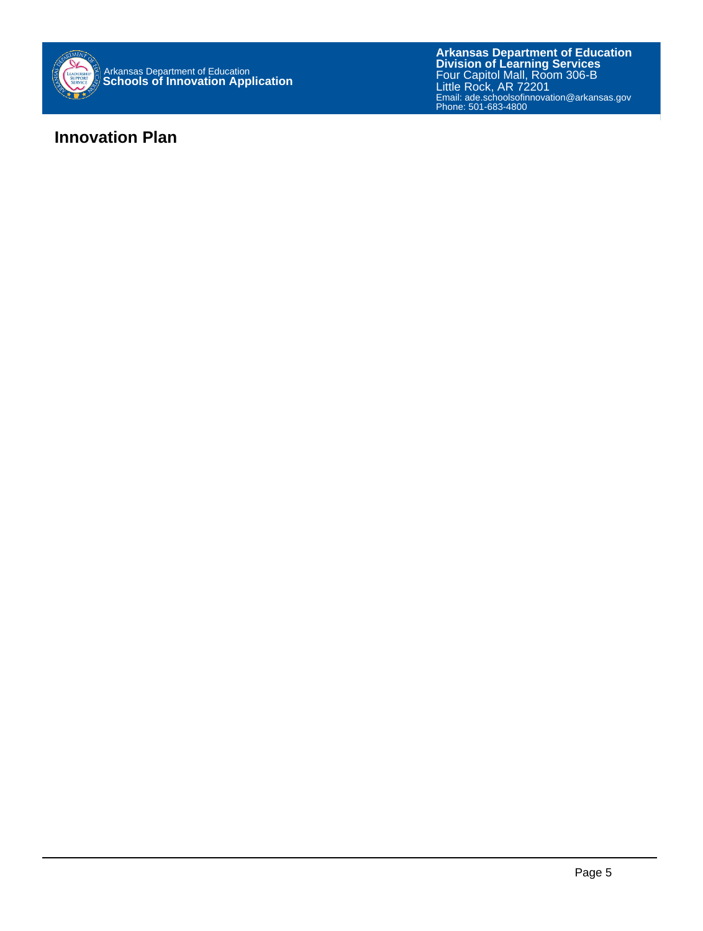

### **Innovation Plan**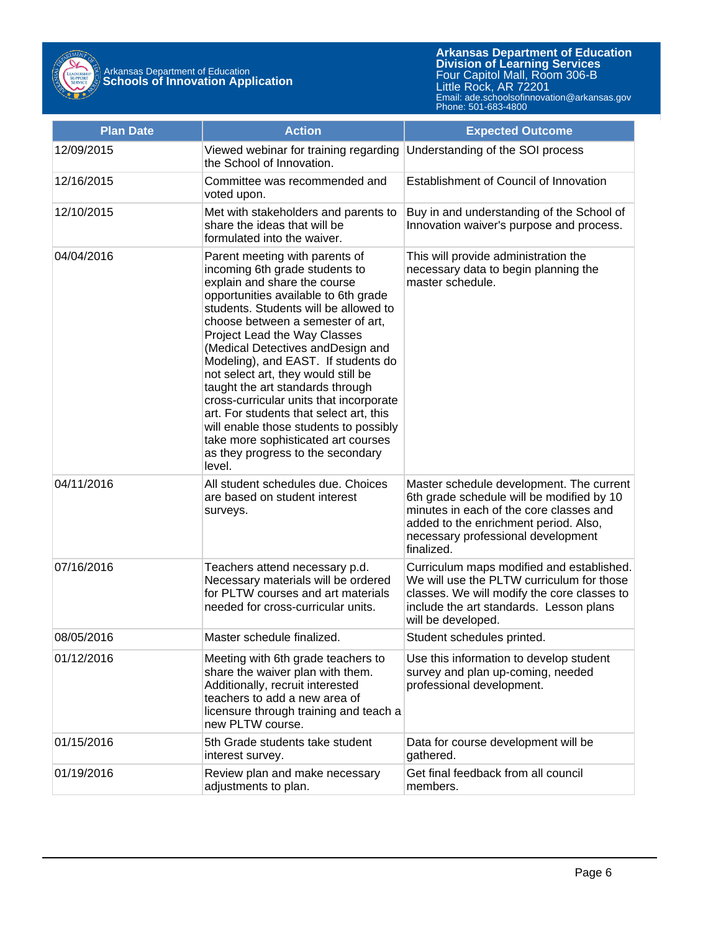

Arkansas Department of Education **Schools of Innovation Application**

**Arkansas Department of Education** Email: ade.schoolsofinnovation@arkansas.gov **Division of Learning Services** Four Capitol Mall, Room 306-B Little Rock, AR 72201 Phone: 501-683-4800

| <b>Plan Date</b> | <b>Action</b>                                                                                                                                                                                                                                                                                                                                                                                                                                                                                                                                                                                                                       | <b>Expected Outcome</b>                                                                                                                                                                                                       |  |
|------------------|-------------------------------------------------------------------------------------------------------------------------------------------------------------------------------------------------------------------------------------------------------------------------------------------------------------------------------------------------------------------------------------------------------------------------------------------------------------------------------------------------------------------------------------------------------------------------------------------------------------------------------------|-------------------------------------------------------------------------------------------------------------------------------------------------------------------------------------------------------------------------------|--|
| 12/09/2015       | Viewed webinar for training regarding<br>the School of Innovation.                                                                                                                                                                                                                                                                                                                                                                                                                                                                                                                                                                  | Understanding of the SOI process                                                                                                                                                                                              |  |
| 12/16/2015       | Committee was recommended and<br>voted upon.                                                                                                                                                                                                                                                                                                                                                                                                                                                                                                                                                                                        | Establishment of Council of Innovation                                                                                                                                                                                        |  |
| 12/10/2015       | Met with stakeholders and parents to<br>share the ideas that will be<br>formulated into the waiver.                                                                                                                                                                                                                                                                                                                                                                                                                                                                                                                                 | Buy in and understanding of the School of<br>Innovation waiver's purpose and process.                                                                                                                                         |  |
| 04/04/2016       | Parent meeting with parents of<br>incoming 6th grade students to<br>explain and share the course<br>opportunities available to 6th grade<br>students. Students will be allowed to<br>choose between a semester of art,<br>Project Lead the Way Classes<br>(Medical Detectives andDesign and<br>Modeling), and EAST. If students do<br>not select art, they would still be<br>taught the art standards through<br>cross-curricular units that incorporate<br>art. For students that select art, this<br>will enable those students to possibly<br>take more sophisticated art courses<br>as they progress to the secondary<br>level. | This will provide administration the<br>necessary data to begin planning the<br>master schedule.                                                                                                                              |  |
| 04/11/2016       | All student schedules due. Choices<br>are based on student interest<br>surveys.                                                                                                                                                                                                                                                                                                                                                                                                                                                                                                                                                     | Master schedule development. The current<br>6th grade schedule will be modified by 10<br>minutes in each of the core classes and<br>added to the enrichment period. Also,<br>necessary professional development<br>finalized. |  |
| 07/16/2016       | Teachers attend necessary p.d.<br>Necessary materials will be ordered<br>for PLTW courses and art materials<br>needed for cross-curricular units.                                                                                                                                                                                                                                                                                                                                                                                                                                                                                   | Curriculum maps modified and established.<br>We will use the PLTW curriculum for those<br>classes. We will modify the core classes to<br>include the art standards. Lesson plans<br>will be developed.                        |  |
| 08/05/2016       | Master schedule finalized.                                                                                                                                                                                                                                                                                                                                                                                                                                                                                                                                                                                                          | Student schedules printed.                                                                                                                                                                                                    |  |
| 01/12/2016       | Meeting with 6th grade teachers to<br>share the waiver plan with them.<br>Additionally, recruit interested<br>teachers to add a new area of<br>licensure through training and teach a<br>new PLTW course.                                                                                                                                                                                                                                                                                                                                                                                                                           | Use this information to develop student<br>survey and plan up-coming, needed<br>professional development.                                                                                                                     |  |
| 01/15/2016       | 5th Grade students take student<br>interest survey.                                                                                                                                                                                                                                                                                                                                                                                                                                                                                                                                                                                 | Data for course development will be<br>gathered.                                                                                                                                                                              |  |
| 01/19/2016       | Review plan and make necessary<br>adjustments to plan.                                                                                                                                                                                                                                                                                                                                                                                                                                                                                                                                                                              | Get final feedback from all council<br>members.                                                                                                                                                                               |  |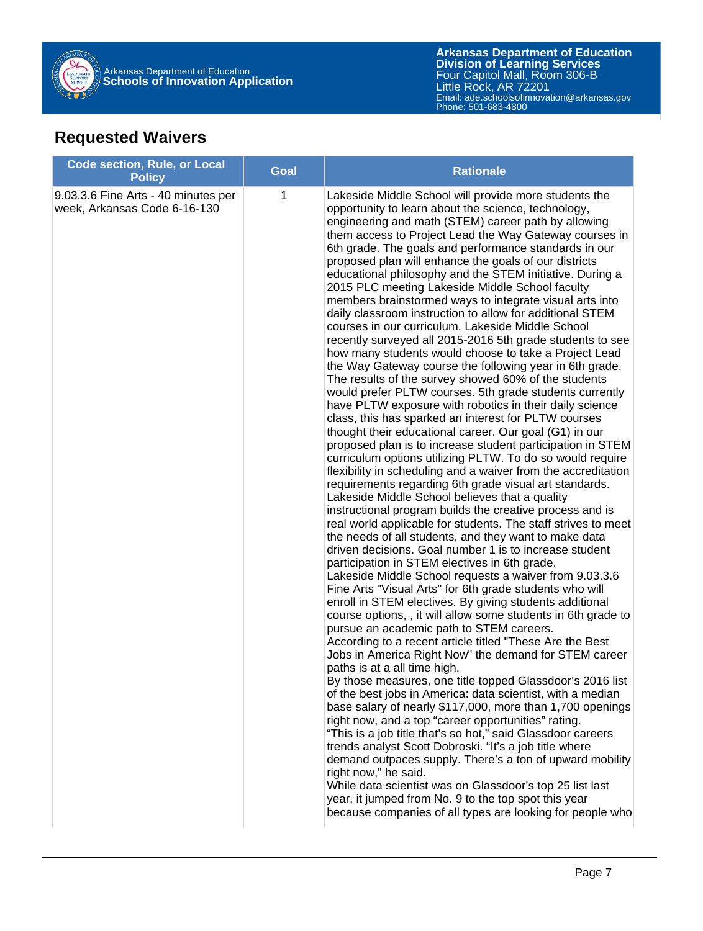

# **Requested Waivers**

| <b>Code section, Rule, or Local</b><br><b>Policy</b>                | <b>Goal</b> | <b>Rationale</b>                                                                                                                                                                                                                                                                                                                                                                                                                                                                                                                                                                                                                                                                                                                                                                                                                                                                                                                                                                                                                                                                                                                                                                                                                                                                                                                                                                                                                                                                                                                                                                                                                                                                                                                                                                                                                                                                                                                                                                                                                                                                                                                                                                                                                                                                                                                                                                                                                                                                                                                                                                                                                                                                                                                                                                                                                    |
|---------------------------------------------------------------------|-------------|-------------------------------------------------------------------------------------------------------------------------------------------------------------------------------------------------------------------------------------------------------------------------------------------------------------------------------------------------------------------------------------------------------------------------------------------------------------------------------------------------------------------------------------------------------------------------------------------------------------------------------------------------------------------------------------------------------------------------------------------------------------------------------------------------------------------------------------------------------------------------------------------------------------------------------------------------------------------------------------------------------------------------------------------------------------------------------------------------------------------------------------------------------------------------------------------------------------------------------------------------------------------------------------------------------------------------------------------------------------------------------------------------------------------------------------------------------------------------------------------------------------------------------------------------------------------------------------------------------------------------------------------------------------------------------------------------------------------------------------------------------------------------------------------------------------------------------------------------------------------------------------------------------------------------------------------------------------------------------------------------------------------------------------------------------------------------------------------------------------------------------------------------------------------------------------------------------------------------------------------------------------------------------------------------------------------------------------------------------------------------------------------------------------------------------------------------------------------------------------------------------------------------------------------------------------------------------------------------------------------------------------------------------------------------------------------------------------------------------------------------------------------------------------------------------------------------------------|
| 9.03.3.6 Fine Arts - 40 minutes per<br>week, Arkansas Code 6-16-130 | 1           | Lakeside Middle School will provide more students the<br>opportunity to learn about the science, technology,<br>engineering and math (STEM) career path by allowing<br>them access to Project Lead the Way Gateway courses in<br>6th grade. The goals and performance standards in our<br>proposed plan will enhance the goals of our districts<br>educational philosophy and the STEM initiative. During a<br>2015 PLC meeting Lakeside Middle School faculty<br>members brainstormed ways to integrate visual arts into<br>daily classroom instruction to allow for additional STEM<br>courses in our curriculum. Lakeside Middle School<br>recently surveyed all 2015-2016 5th grade students to see<br>how many students would choose to take a Project Lead<br>the Way Gateway course the following year in 6th grade.<br>The results of the survey showed 60% of the students<br>would prefer PLTW courses. 5th grade students currently<br>have PLTW exposure with robotics in their daily science<br>class, this has sparked an interest for PLTW courses<br>thought their educational career. Our goal (G1) in our<br>proposed plan is to increase student participation in STEM<br>curriculum options utilizing PLTW. To do so would require<br>flexibility in scheduling and a waiver from the accreditation<br>requirements regarding 6th grade visual art standards.<br>Lakeside Middle School believes that a quality<br>instructional program builds the creative process and is<br>real world applicable for students. The staff strives to meet<br>the needs of all students, and they want to make data<br>driven decisions. Goal number 1 is to increase student<br>participation in STEM electives in 6th grade.<br>Lakeside Middle School requests a waiver from 9.03.3.6<br>Fine Arts "Visual Arts" for 6th grade students who will<br>enroll in STEM electives. By giving students additional<br>course options, , it will allow some students in 6th grade to<br>pursue an academic path to STEM careers.<br>According to a recent article titled "These Are the Best<br>Jobs in America Right Now" the demand for STEM career<br>paths is at a all time high.<br>By those measures, one title topped Glassdoor's 2016 list<br>of the best jobs in America: data scientist, with a median<br>base salary of nearly \$117,000, more than 1,700 openings<br>right now, and a top "career opportunities" rating.<br>"This is a job title that's so hot," said Glassdoor careers<br>trends analyst Scott Dobroski. "It's a job title where<br>demand outpaces supply. There's a ton of upward mobility<br>right now," he said.<br>While data scientist was on Glassdoor's top 25 list last<br>year, it jumped from No. 9 to the top spot this year<br>because companies of all types are looking for people who |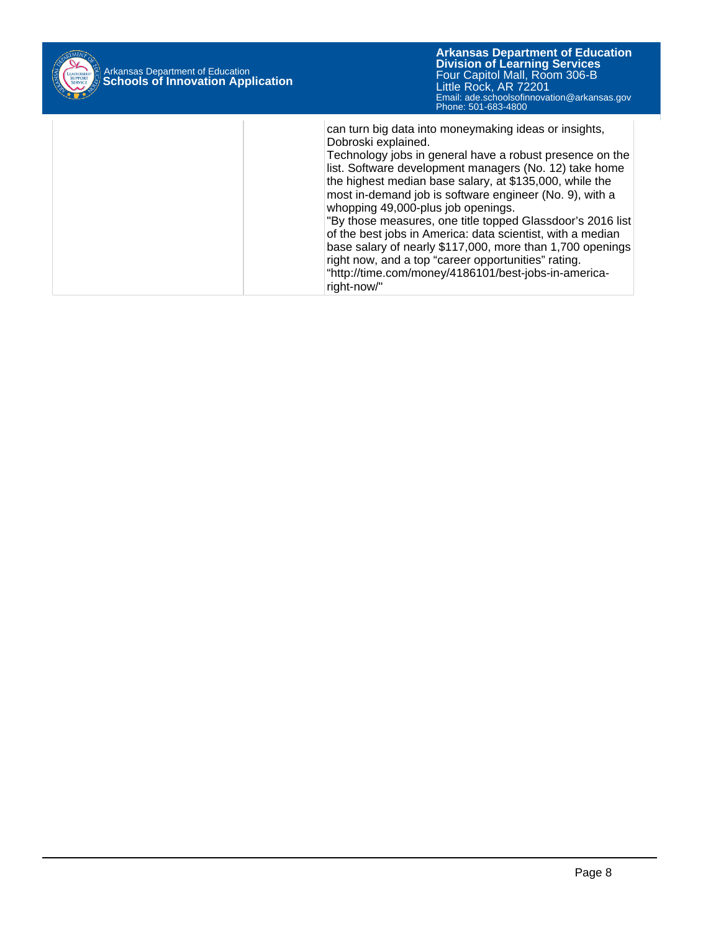

| can turn big data into moneymaking ideas or insights,<br>Dobroski explained.<br>Technology jobs in general have a robust presence on the<br>list. Software development managers (No. 12) take home<br>the highest median base salary, at \$135,000, while the<br>most in-demand job is software engineer (No. 9), with a<br>whopping 49,000-plus job openings.<br>"By those measures, one title topped Glassdoor's 2016 list<br>of the best jobs in America: data scientist, with a median<br>base salary of nearly \$117,000, more than 1,700 openings<br>right now, and a top "career opportunities" rating.<br>"http://time.com/money/4186101/best-jobs-in-america-<br>right-now/" |
|---------------------------------------------------------------------------------------------------------------------------------------------------------------------------------------------------------------------------------------------------------------------------------------------------------------------------------------------------------------------------------------------------------------------------------------------------------------------------------------------------------------------------------------------------------------------------------------------------------------------------------------------------------------------------------------|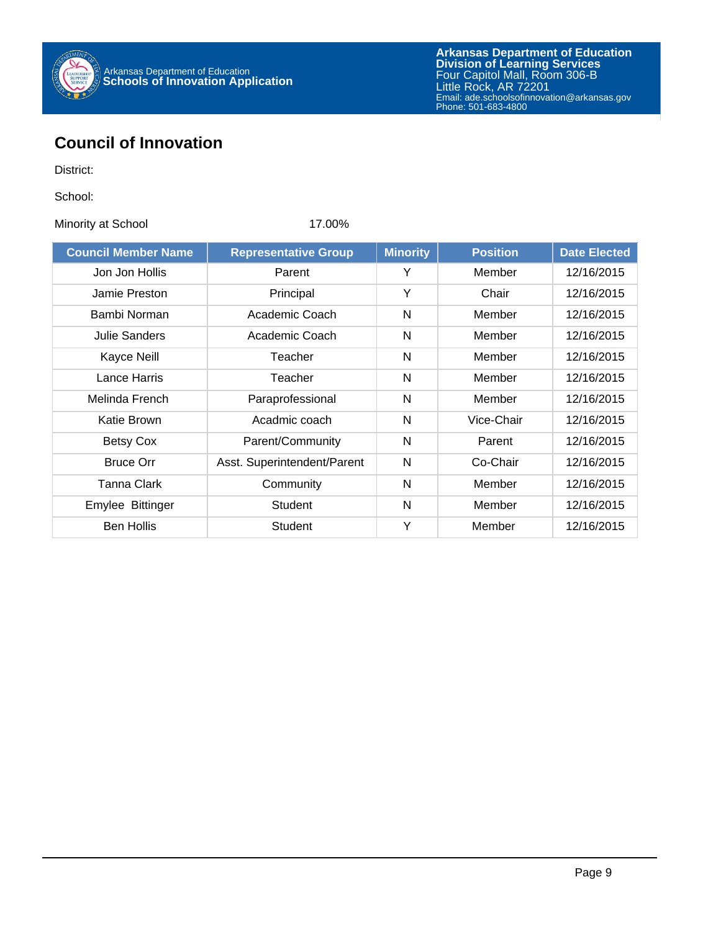

## **Council of Innovation**

District:

School:

Minority at School 17.00%

| <b>Council Member Name</b> | <b>Representative Group</b> | <b>Minority</b> | <b>Position</b> | <b>Date Elected</b> |
|----------------------------|-----------------------------|-----------------|-----------------|---------------------|
| Jon Jon Hollis             | Parent                      | Y               | Member          | 12/16/2015          |
| Jamie Preston              | Principal                   | Y               | Chair           | 12/16/2015          |
| Bambi Norman               | Academic Coach              | N               | Member          | 12/16/2015          |
| Julie Sanders              | Academic Coach              | N               | Member          | 12/16/2015          |
| Kayce Neill                | Teacher                     | N               | Member          | 12/16/2015          |
| Lance Harris               | Teacher                     | N               | Member          | 12/16/2015          |
| Melinda French             | Paraprofessional            | N               | Member          | 12/16/2015          |
| Katie Brown                | Acadmic coach               | N               | Vice-Chair      | 12/16/2015          |
| Betsy Cox                  | Parent/Community            | N               | Parent          | 12/16/2015          |
| <b>Bruce Orr</b>           | Asst. Superintendent/Parent | N               | Co-Chair        | 12/16/2015          |
| Tanna Clark                | Community                   | N               | Member          | 12/16/2015          |
| Emylee Bittinger           | Student                     | N               | Member          | 12/16/2015          |
| <b>Ben Hollis</b>          | Student                     | Y               | Member          | 12/16/2015          |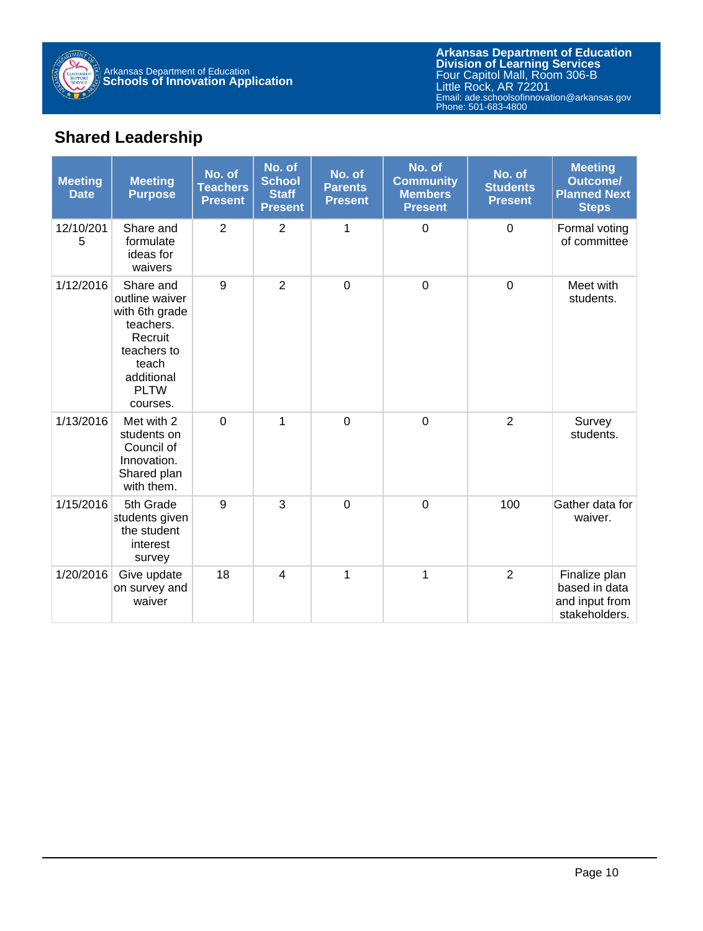

# **Shared Leadership**

| <b>Meeting</b><br><b>Date</b> | <b>Meeting</b><br><b>Purpose</b>                                                                                                       | No. of<br><b>Teachers</b><br><b>Present</b> | No. of<br><b>School</b><br><b>Staff</b><br><b>Present</b> | No. of<br><b>Parents</b><br><b>Present</b> | No. of<br><b>Community</b><br><b>Members</b><br><b>Present</b> | No. of<br><b>Students</b><br><b>Present</b> | <b>Meeting</b><br><b>Outcome/</b><br><b>Planned Next</b><br><b>Steps</b> |
|-------------------------------|----------------------------------------------------------------------------------------------------------------------------------------|---------------------------------------------|-----------------------------------------------------------|--------------------------------------------|----------------------------------------------------------------|---------------------------------------------|--------------------------------------------------------------------------|
| 12/10/201<br>5                | Share and<br>formulate<br>ideas for<br>waivers                                                                                         | $\overline{2}$                              | $\overline{2}$                                            | 1                                          | 0                                                              | $\mathbf 0$                                 | Formal voting<br>of committee                                            |
| 1/12/2016                     | Share and<br>outline waiver<br>with 6th grade<br>teachers.<br>Recruit<br>teachers to<br>teach<br>additional<br><b>PLTW</b><br>courses. | 9                                           | $\overline{2}$                                            | $\overline{0}$                             | $\mathbf 0$                                                    | $\overline{0}$                              | Meet with<br>students.                                                   |
| 1/13/2016                     | Met with 2<br>students on<br>Council of<br>Innovation.<br>Shared plan<br>with them.                                                    | $\overline{0}$                              | 1                                                         | $\overline{0}$                             | $\overline{0}$                                                 | $\overline{2}$                              | Survey<br>students.                                                      |
| 1/15/2016                     | 5th Grade<br>students given<br>the student<br>interest<br>survey                                                                       | 9                                           | 3                                                         | $\mathbf 0$                                | $\mathbf 0$                                                    | 100                                         | Gather data for<br>waiver.                                               |
| 1/20/2016                     | Give update<br>on survey and<br>waiver                                                                                                 | 18                                          | $\overline{4}$                                            | 1                                          | 1                                                              | $\overline{2}$                              | Finalize plan<br>based in data<br>and input from<br>stakeholders.        |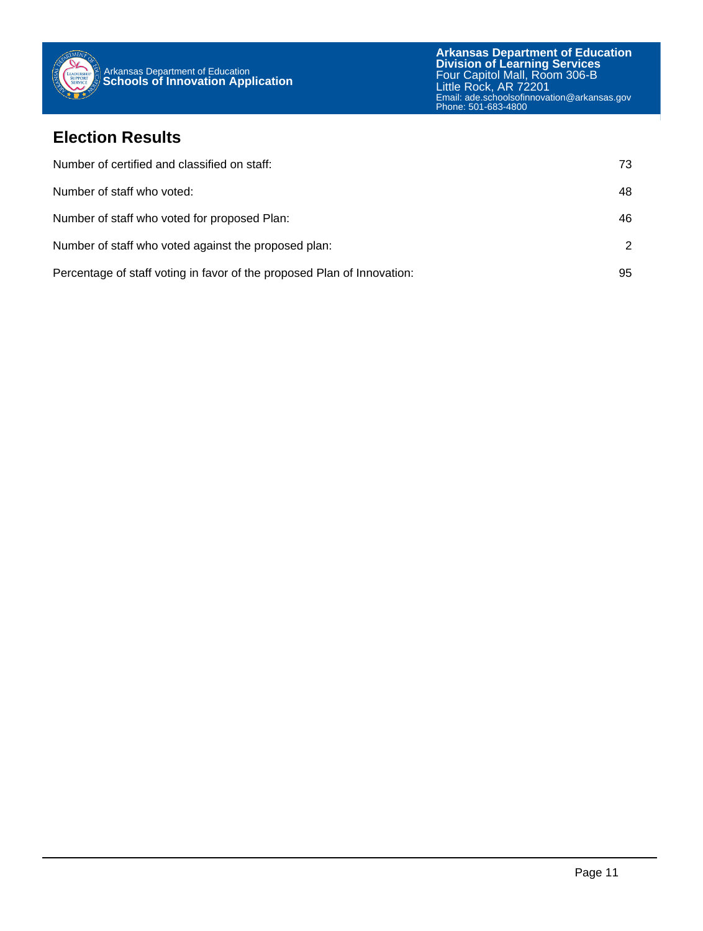

### **Election Results**

| Number of certified and classified on staff:                            | 73            |
|-------------------------------------------------------------------------|---------------|
| Number of staff who voted:                                              | 48            |
| Number of staff who voted for proposed Plan:                            | 46            |
| Number of staff who voted against the proposed plan:                    | $\mathcal{P}$ |
| Percentage of staff voting in favor of the proposed Plan of Innovation: | 95            |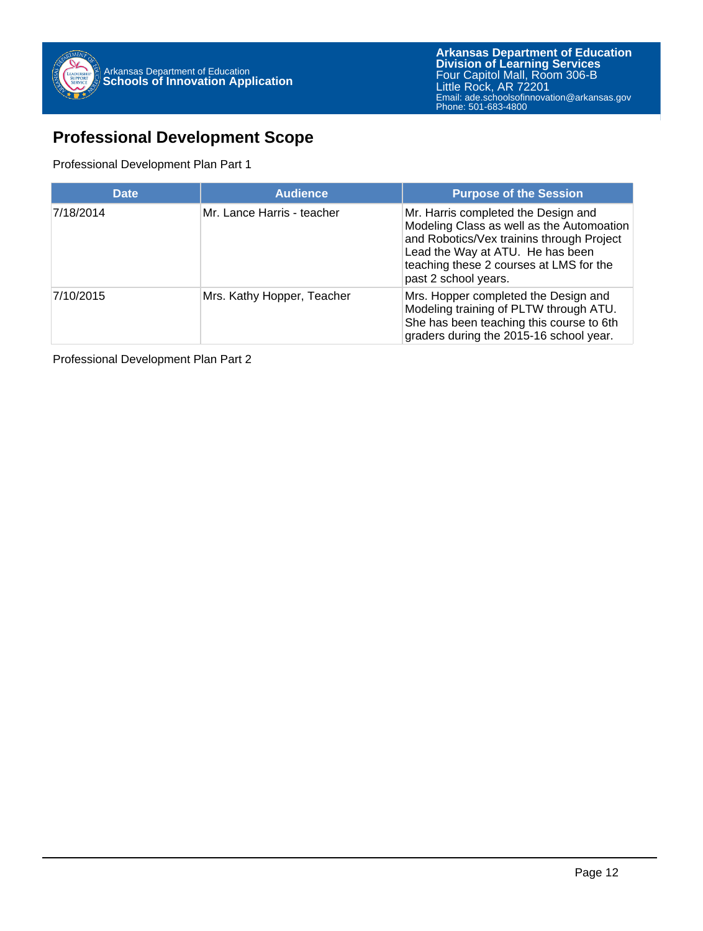

## **Professional Development Scope**

#### Professional Development Plan Part 1

| <b>Date</b> | <b>Audience</b>            | <b>Purpose of the Session</b>                                                                                                                                                                                                        |
|-------------|----------------------------|--------------------------------------------------------------------------------------------------------------------------------------------------------------------------------------------------------------------------------------|
| 7/18/2014   | Mr. Lance Harris - teacher | Mr. Harris completed the Design and<br>Modeling Class as well as the Automoation<br>and Robotics/Vex trainins through Project<br>Lead the Way at ATU. He has been<br>teaching these 2 courses at LMS for the<br>past 2 school years. |
| 7/10/2015   | Mrs. Kathy Hopper, Teacher | Mrs. Hopper completed the Design and<br>Modeling training of PLTW through ATU.<br>She has been teaching this course to 6th<br>graders during the 2015-16 school year.                                                                |

Professional Development Plan Part 2